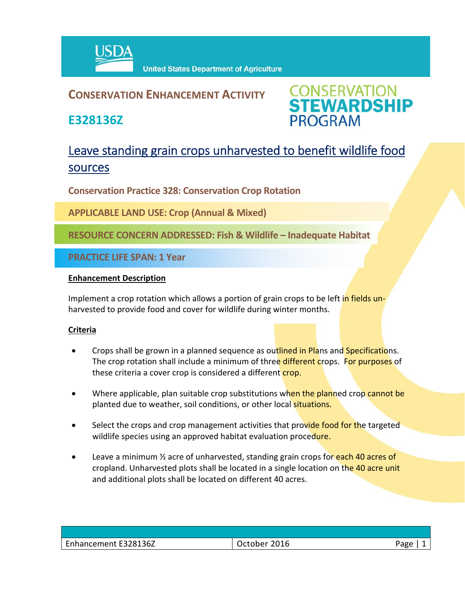

## **CONSERVATION ENHANCEMENT ACTIVITY**

**E328136Z**



# Leave standing grain crops unharvested to benefit wildlife food sources

**Conservation Practice 328: Conservation Crop Rotation** 

**APPLICABLE LAND USE: Crop (Annual & Mixed)** 

**RESOURCE CONCERN ADDRESSED: Fish & Wildlife – Inadequate Habitat**

**PRACTICE LIFE SPAN: 1 Year**

#### **Enhancement Description**

Implement a crop rotation which allows a portion of grain crops to be left in fields unharvested to provide food and cover for wildlife during winter months.

### **Criteria**

- Crops shall be grown in a planned sequence as outlined in Plans and Specifications. The crop rotation shall include a minimum of three different crops. For purposes of these criteria a cover crop is considered a different crop.
- Where applicable, plan suitable crop substitutions when the planned crop cannot be planted due to weather, soil conditions, or other local situations.
- Select the crops and crop management activities that provide food for the targeted wildlife species using an approved habitat evaluation procedure.
- **•** Leave a minimum  $\frac{1}{2}$  acre of unharvested, standing grain crops for each 40 acres of cropland. Unharvested plots shall be located in a single location on the 40 acre unit and additional plots shall be located on different 40 acres.

| Enhancement E328136Z | 2016<br>いへへい<br>uctone. | - המבי<br>- ס |
|----------------------|-------------------------|---------------|
|                      |                         |               |